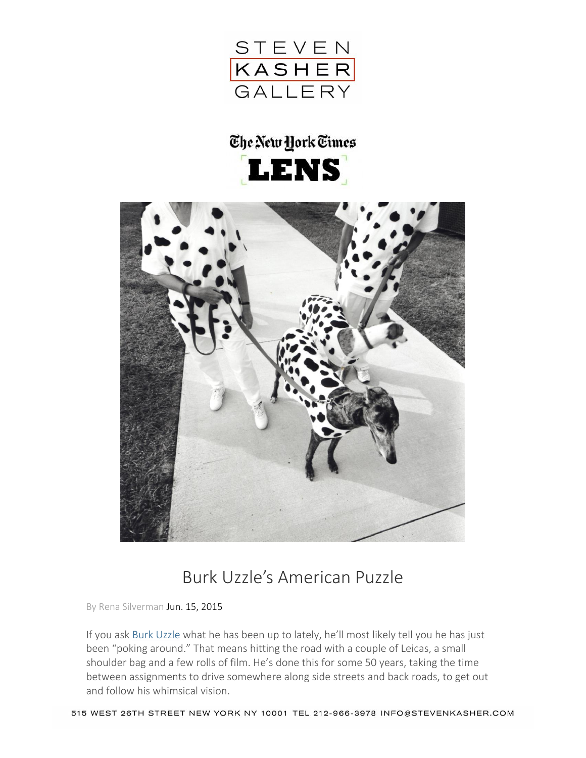

## The New York Times **LENS**



## Burk Uzzle's American Puzzle

By Rena Silverman Jun. 15, 2015

If you ask [Burk Uzzle](http://www.burkuzzle.com/index.php) what he has been up to lately, he'll most likely tell you he has just been "poking around." That means hitting the road with a couple of Leicas, a small shoulder bag and a few rolls of film. He's done this for some 50 years, taking the time between assignments to drive somewhere along side streets and back roads, to get out and follow his whimsical vision.

515 WEST 26TH STREET NEW YORK NY 10001 TEL 212-966-3978 INFO@STEVENKASHER.COM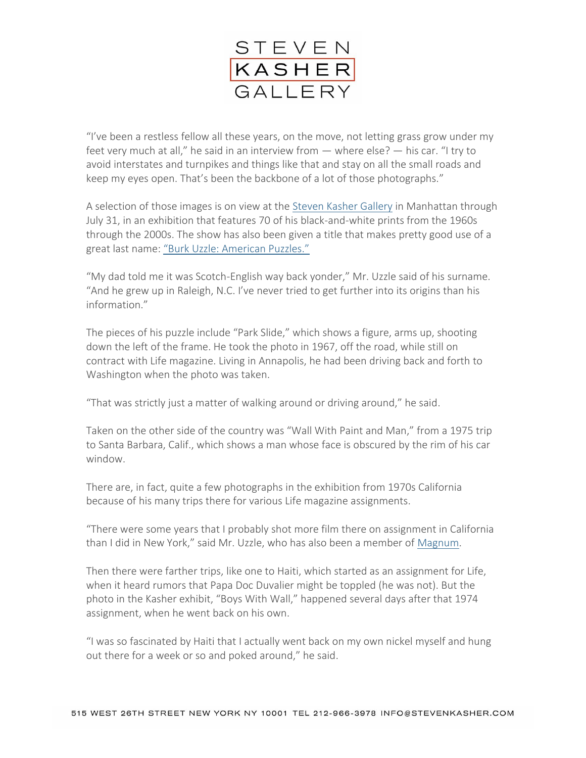

"I've been a restless fellow all these years, on the move, not letting grass grow under my feet very much at all," he said in an interview from — where else? — his car. "I try to avoid interstates and turnpikes and things like that and stay on all the small roads and keep my eyes open. That's been the backbone of a lot of those photographs."

A selection of those images is on view at the [Steven Kasher Gallery](http://www.stevenkasher.com/) in Manhattan through July 31, in an exhibition that features 70 of his black-and-white prints from the 1960s through the 2000s. The show has also been given a title that makes pretty good use of a great last name: ["Burk Uzzle: American Puzzles."](http://www.stevenkasher.com/exhibitions/burk-uzzle-american-puzzles)

"My dad told me it was Scotch-English way back yonder," Mr. Uzzle said of his surname. "And he grew up in Raleigh, N.C. I've never tried to get further into its origins than his information."

The pieces of his puzzle include "Park Slide," which shows a figure, arms up, shooting down the left of the frame. He took the photo in 1967, off the road, while still on contract with Life magazine. Living in Annapolis, he had been driving back and forth to Washington when the photo was taken.

"That was strictly just a matter of walking around or driving around," he said.

Taken on the other side of the country was "Wall With Paint and Man," from a 1975 trip to Santa Barbara, Calif., which shows a man whose face is obscured by the rim of his car window.

There are, in fact, quite a few photographs in the exhibition from 1970s California because of his many trips there for various Life magazine assignments.

"There were some years that I probably shot more film there on assignment in California than I did in New York," said Mr. Uzzle, who has also been a member of [Magnum.](http://www.magnumphotos.com/)

Then there were farther trips, like one to Haiti, which started as an assignment for Life, when it heard rumors that Papa Doc Duvalier might be toppled (he was not). But the photo in the Kasher exhibit, "Boys With Wall," happened several days after that 1974 assignment, when he went back on his own.

"I was so fascinated by Haiti that I actually went back on my own nickel myself and hung out there for a week or so and poked around," he said.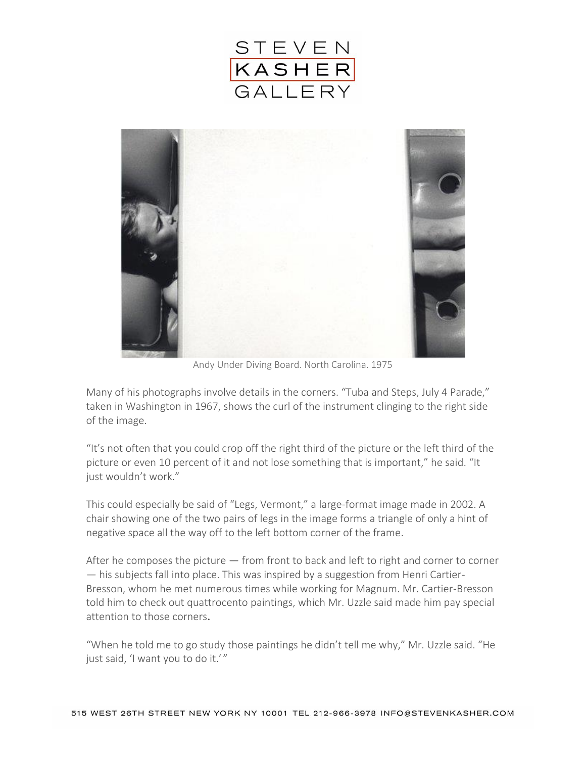



Andy Under Diving Board. North Carolina. 1975

Many of his photographs involve details in the corners. "Tuba and Steps, July 4 Parade," taken in Washington in 1967, shows the curl of the instrument clinging to the right side of the image.

"It's not often that you could crop off the right third of the picture or the left third of the picture or even 10 percent of it and not lose something that is important," he said. "It just wouldn't work."

This could especially be said of "Legs, Vermont," a large-format image made in 2002. A chair showing one of the two pairs of legs in the image forms a triangle of only a hint of negative space all the way off to the left bottom corner of the frame.

After he composes the picture  $-$  from front to back and left to right and corner to corner — his subjects fall into place. This was inspired by a suggestion from Henri Cartier-Bresson, whom he met numerous times while working for Magnum. Mr. Cartier-Bresson told him to check out quattrocento paintings, which Mr. Uzzle said made him pay special attention to those corners.

"When he told me to go study those paintings he didn't tell me why," Mr. Uzzle said. "He just said, 'I want you to do it.'"